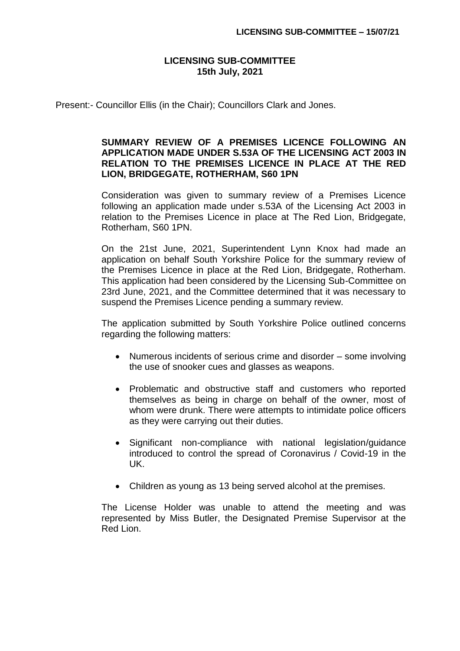## **LICENSING SUB-COMMITTEE 15th July, 2021**

Present:- Councillor Ellis (in the Chair); Councillors Clark and Jones.

## **SUMMARY REVIEW OF A PREMISES LICENCE FOLLOWING AN APPLICATION MADE UNDER S.53A OF THE LICENSING ACT 2003 IN RELATION TO THE PREMISES LICENCE IN PLACE AT THE RED LION, BRIDGEGATE, ROTHERHAM, S60 1PN**

Consideration was given to summary review of a Premises Licence following an application made under s.53A of the Licensing Act 2003 in relation to the Premises Licence in place at The Red Lion, Bridgegate, Rotherham, S60 1PN.

On the 21st June, 2021, Superintendent Lynn Knox had made an application on behalf South Yorkshire Police for the summary review of the Premises Licence in place at the Red Lion, Bridgegate, Rotherham. This application had been considered by the Licensing Sub-Committee on 23rd June, 2021, and the Committee determined that it was necessary to suspend the Premises Licence pending a summary review.

The application submitted by South Yorkshire Police outlined concerns regarding the following matters:

- Numerous incidents of serious crime and disorder some involving the use of snooker cues and glasses as weapons.
- Problematic and obstructive staff and customers who reported themselves as being in charge on behalf of the owner, most of whom were drunk. There were attempts to intimidate police officers as they were carrying out their duties.
- Significant non-compliance with national legislation/guidance introduced to control the spread of Coronavirus / Covid-19 in the UK.
- Children as young as 13 being served alcohol at the premises.

The License Holder was unable to attend the meeting and was represented by Miss Butler, the Designated Premise Supervisor at the Red Lion.